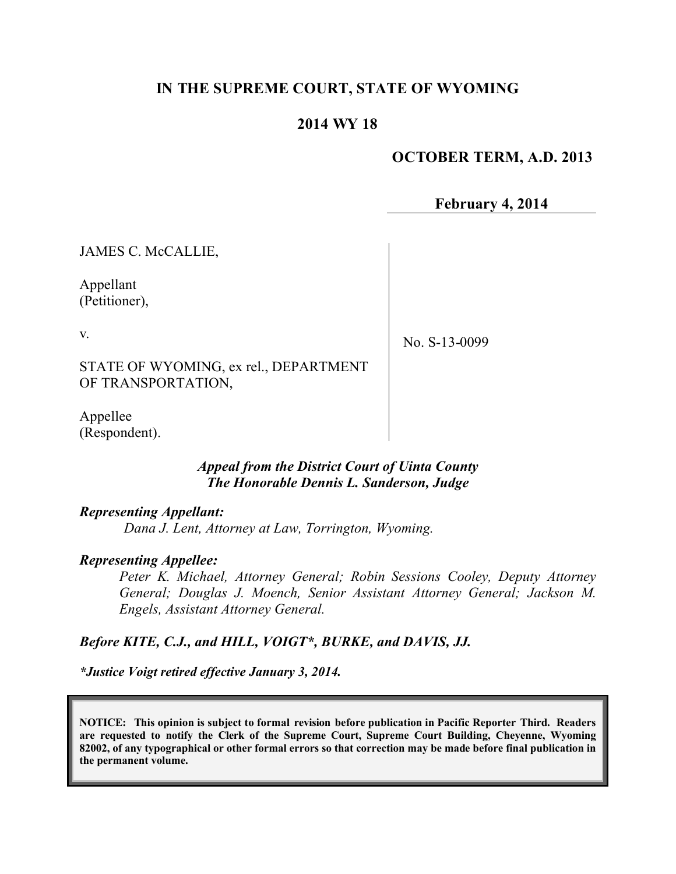# **IN THE SUPREME COURT, STATE OF WYOMING**

## **2014 WY 18**

### **OCTOBER TERM, A.D. 2013**

**February 4, 2014**

JAMES C. McCALLIE,

Appellant (Petitioner),

v.

No. S-13-0099

STATE OF WYOMING, ex rel., DEPARTMENT OF TRANSPORTATION,

Appellee (Respondent).

#### *Appeal from the District Court of Uinta County The Honorable Dennis L. Sanderson, Judge*

#### *Representing Appellant:*

*Dana J. Lent, Attorney at Law, Torrington, Wyoming.*

#### *Representing Appellee:*

*Peter K. Michael, Attorney General; Robin Sessions Cooley, Deputy Attorney General; Douglas J. Moench, Senior Assistant Attorney General; Jackson M. Engels, Assistant Attorney General.*

#### *Before KITE, C.J., and HILL, VOIGT\*, BURKE, and DAVIS, JJ.*

*\*Justice Voigt retired effective January 3, 2014.*

**NOTICE: This opinion is subject to formal revision before publication in Pacific Reporter Third. Readers are requested to notify the Clerk of the Supreme Court, Supreme Court Building, Cheyenne, Wyoming 82002, of any typographical or other formal errors so that correction may be made before final publication in the permanent volume.**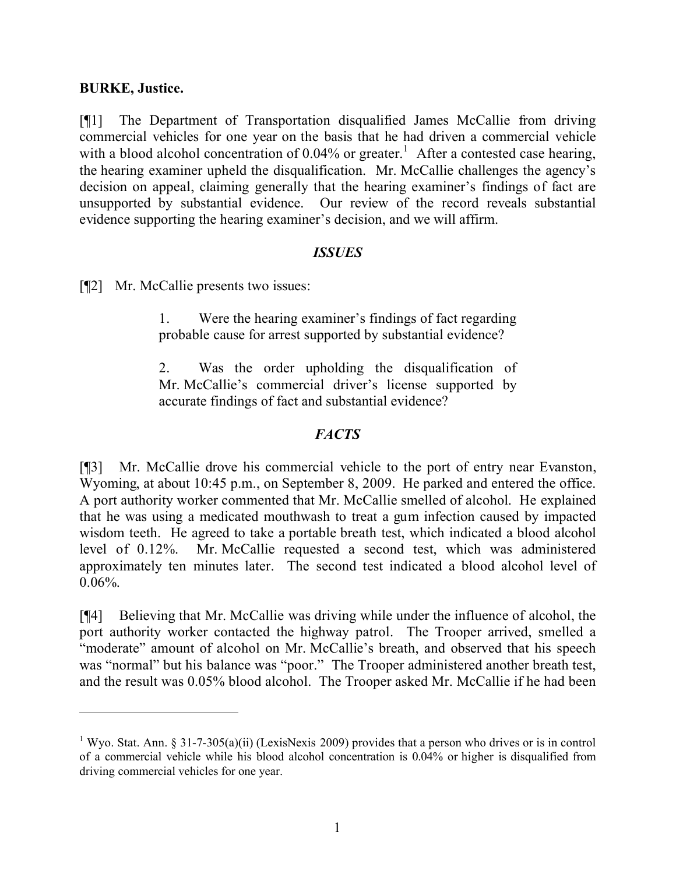### **BURKE, Justice.**

[¶1] The Department of Transportation disqualified James McCallie from driving commercial vehicles for one year on the basis that he had driven a commercial vehicle with a blood alcohol concentration of 0.04% or greater.<sup>1</sup> After a contested case hearing, the hearing examiner upheld the disqualification. Mr. McCallie challenges the agency's decision on appeal, claiming generally that the hearing examiner's findings of fact are unsupported by substantial evidence. Our review of the record reveals substantial evidence supporting the hearing examiner's decision, and we will affirm.

## *ISSUES*

[¶2] Mr. McCallie presents two issues:

1. Were the hearing examiner's findings of fact regarding probable cause for arrest supported by substantial evidence?

2. Was the order upholding the disqualification of Mr. McCallie's commercial driver's license supported by accurate findings of fact and substantial evidence?

## *FACTS*

[¶3] Mr. McCallie drove his commercial vehicle to the port of entry near Evanston, Wyoming, at about 10:45 p.m., on September 8, 2009. He parked and entered the office. A port authority worker commented that Mr. McCallie smelled of alcohol. He explained that he was using a medicated mouthwash to treat a gum infection caused by impacted wisdom teeth. He agreed to take a portable breath test, which indicated a blood alcohol level of 0.12%. Mr. McCallie requested a second test, which was administered approximately ten minutes later. The second test indicated a blood alcohol level of  $0.06\%$ .

[¶4] Believing that Mr. McCallie was driving while under the influence of alcohol, the port authority worker contacted the highway patrol. The Trooper arrived, smelled a "moderate" amount of alcohol on Mr. McCallie's breath, and observed that his speech was "normal" but his balance was "poor." The Trooper administered another breath test, and the result was 0.05% blood alcohol. The Trooper asked Mr. McCallie if he had been

<sup>&</sup>lt;sup>1</sup> Wyo. Stat. Ann. § 31-7-305(a)(ii) (LexisNexis 2009) provides that a person who drives or is in control of a commercial vehicle while his blood alcohol concentration is 0.04% or higher is disqualified from driving commercial vehicles for one year.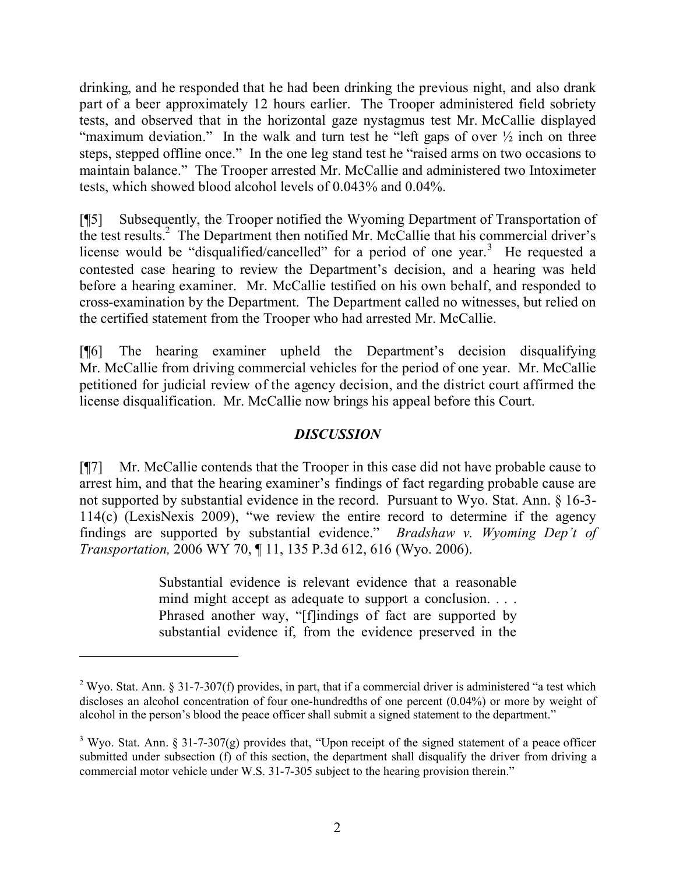drinking, and he responded that he had been drinking the previous night, and also drank part of a beer approximately 12 hours earlier. The Trooper administered field sobriety tests, and observed that in the horizontal gaze nystagmus test Mr. McCallie displayed "maximum deviation." In the walk and turn test he "left gaps of over  $\frac{1}{2}$  inch on three steps, stepped offline once." In the one leg stand test he "raised arms on two occasions to maintain balance." The Trooper arrested Mr. McCallie and administered two Intoximeter tests, which showed blood alcohol levels of 0.043% and 0.04%.

[¶5] Subsequently, the Trooper notified the Wyoming Department of Transportation of the test results.<sup>2</sup> The Department then notified Mr. McCallie that his commercial driver's license would be "disqualified/cancelled" for a period of one year.<sup>3</sup> He requested a contested case hearing to review the Department's decision, and a hearing was held before a hearing examiner. Mr. McCallie testified on his own behalf, and responded to cross-examination by the Department. The Department called no witnesses, but relied on the certified statement from the Trooper who had arrested Mr. McCallie.

[¶6] The hearing examiner upheld the Department's decision disqualifying Mr. McCallie from driving commercial vehicles for the period of one year. Mr. McCallie petitioned for judicial review of the agency decision, and the district court affirmed the license disqualification. Mr. McCallie now brings his appeal before this Court.

### *DISCUSSION*

[¶7] Mr. McCallie contends that the Trooper in this case did not have probable cause to arrest him, and that the hearing examiner's findings of fact regarding probable cause are not supported by substantial evidence in the record. Pursuant to Wyo. Stat. Ann. § 16-3- 114(c) (LexisNexis 2009), "we review the entire record to determine if the agency findings are supported by substantial evidence." *Bradshaw v. Wyoming Dep't of Transportation,* 2006 WY 70, ¶ 11, 135 P.3d 612, 616 (Wyo. 2006).

> Substantial evidence is relevant evidence that a reasonable mind might accept as adequate to support a conclusion. . . . Phrased another way, "[f]indings of fact are supported by substantial evidence if, from the evidence preserved in the

 $\overline{a}$ 

<sup>&</sup>lt;sup>2</sup> Wyo. Stat. Ann. § 31-7-307(f) provides, in part, that if a commercial driver is administered "a test which discloses an alcohol concentration of four one-hundredths of one percent (0.04%) or more by weight of alcohol in the person's blood the peace officer shall submit a signed statement to the department."

<sup>&</sup>lt;sup>3</sup> Wyo. Stat. Ann. § 31-7-307(g) provides that, "Upon receipt of the signed statement of a peace officer submitted under subsection (f) of this section, the department shall disqualify the driver from driving a commercial motor vehicle under W.S. 31-7-305 subject to the hearing provision therein."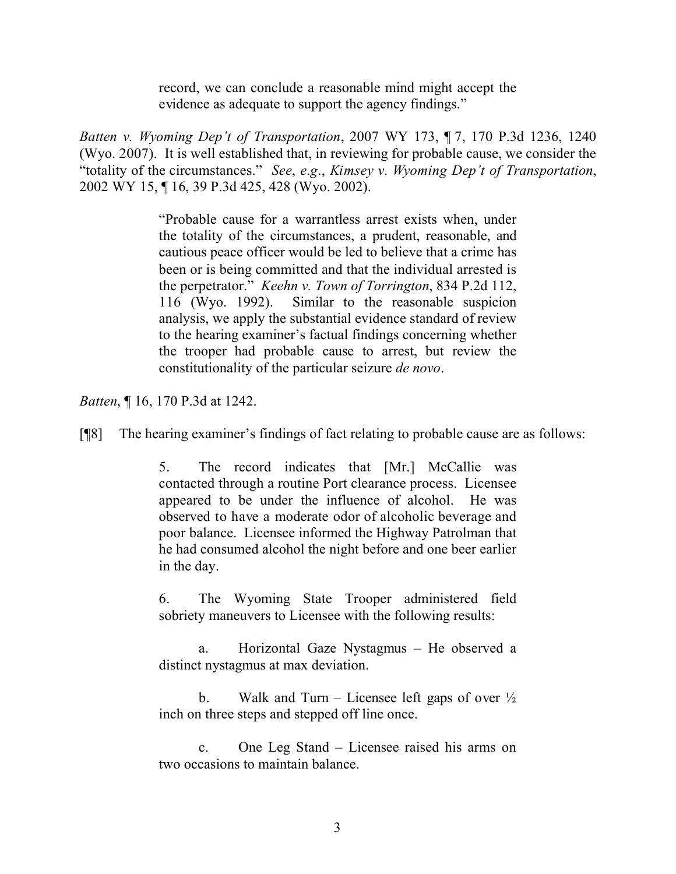record, we can conclude a reasonable mind might accept the evidence as adequate to support the agency findings."

*Batten v. Wyoming Dep't of Transportation*, 2007 WY 173, ¶ 7, 170 P.3d 1236, 1240 (Wyo. 2007). It is well established that, in reviewing for probable cause, we consider the "totality of the circumstances." *See*, *e*.*g*., *Kimsey v. Wyoming Dep't of Transportation*, 2002 WY 15, ¶ 16, 39 P.3d 425, 428 (Wyo. 2002).

> "Probable cause for a warrantless arrest exists when, under the totality of the circumstances, a prudent, reasonable, and cautious peace officer would be led to believe that a crime has been or is being committed and that the individual arrested is the perpetrator." *Keehn v. Town of Torrington*, 834 P.2d 112, 116 (Wyo. 1992). Similar to the reasonable suspicion analysis, we apply the substantial evidence standard of review to the hearing examiner's factual findings concerning whether the trooper had probable cause to arrest, but review the constitutionality of the particular seizure *de novo*.

*Batten*, ¶ 16, 170 P.3d at 1242.

[¶8] The hearing examiner's findings of fact relating to probable cause are as follows:

5. The record indicates that [Mr.] McCallie was contacted through a routine Port clearance process. Licensee appeared to be under the influence of alcohol. He was observed to have a moderate odor of alcoholic beverage and poor balance. Licensee informed the Highway Patrolman that he had consumed alcohol the night before and one beer earlier in the day.

6. The Wyoming State Trooper administered field sobriety maneuvers to Licensee with the following results:

a. Horizontal Gaze Nystagmus – He observed a distinct nystagmus at max deviation.

b. Walk and Turn – Licensee left gaps of over  $\frac{1}{2}$ inch on three steps and stepped off line once.

c. One Leg Stand – Licensee raised his arms on two occasions to maintain balance.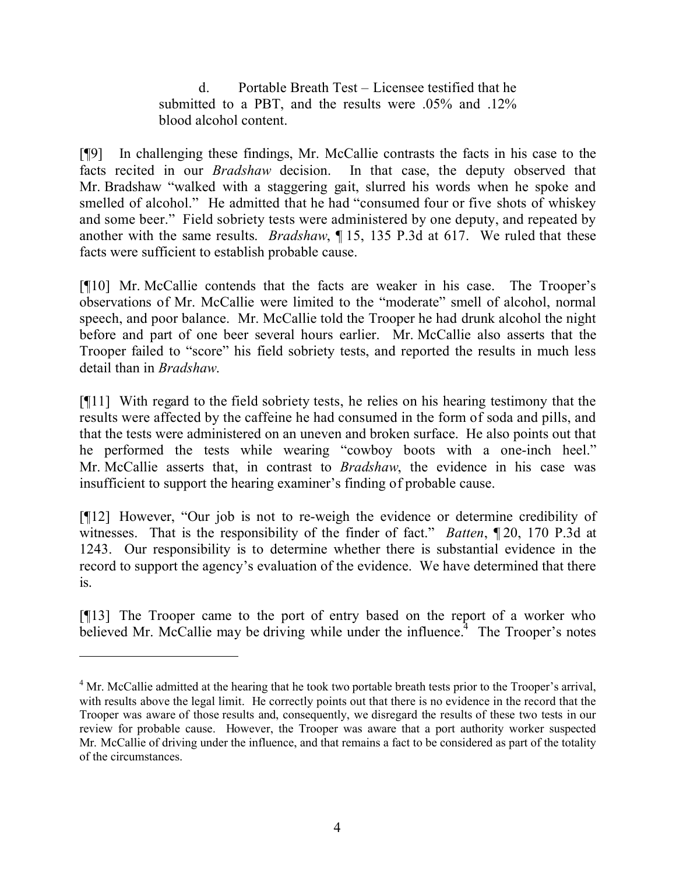d. Portable Breath Test – Licensee testified that he submitted to a PBT, and the results were .05% and .12% blood alcohol content.

[¶9] In challenging these findings, Mr. McCallie contrasts the facts in his case to the facts recited in our *Bradshaw* decision. In that case, the deputy observed that Mr. Bradshaw "walked with a staggering gait, slurred his words when he spoke and smelled of alcohol." He admitted that he had "consumed four or five shots of whiskey and some beer." Field sobriety tests were administered by one deputy, and repeated by another with the same results. *Bradshaw*, ¶ 15, 135 P.3d at 617. We ruled that these facts were sufficient to establish probable cause.

[¶10] Mr. McCallie contends that the facts are weaker in his case. The Trooper's observations of Mr. McCallie were limited to the "moderate" smell of alcohol, normal speech, and poor balance. Mr. McCallie told the Trooper he had drunk alcohol the night before and part of one beer several hours earlier. Mr. McCallie also asserts that the Trooper failed to "score" his field sobriety tests, and reported the results in much less detail than in *Bradshaw*.

[¶11] With regard to the field sobriety tests, he relies on his hearing testimony that the results were affected by the caffeine he had consumed in the form of soda and pills, and that the tests were administered on an uneven and broken surface. He also points out that he performed the tests while wearing "cowboy boots with a one-inch heel." Mr. McCallie asserts that, in contrast to *Bradshaw*, the evidence in his case was insufficient to support the hearing examiner's finding of probable cause.

[¶12] However, "Our job is not to re-weigh the evidence or determine credibility of witnesses. That is the responsibility of the finder of fact." *Batten*, ¶ 20, 170 P.3d at 1243. Our responsibility is to determine whether there is substantial evidence in the record to support the agency's evaluation of the evidence. We have determined that there is.

[¶13] The Trooper came to the port of entry based on the report of a worker who believed Mr. McCallie may be driving while under the influence.<sup> $4$ </sup> The Trooper's notes

 $\overline{a}$ 

<sup>&</sup>lt;sup>4</sup> Mr. McCallie admitted at the hearing that he took two portable breath tests prior to the Trooper's arrival, with results above the legal limit. He correctly points out that there is no evidence in the record that the Trooper was aware of those results and, consequently, we disregard the results of these two tests in our review for probable cause. However, the Trooper was aware that a port authority worker suspected Mr. McCallie of driving under the influence, and that remains a fact to be considered as part of the totality of the circumstances.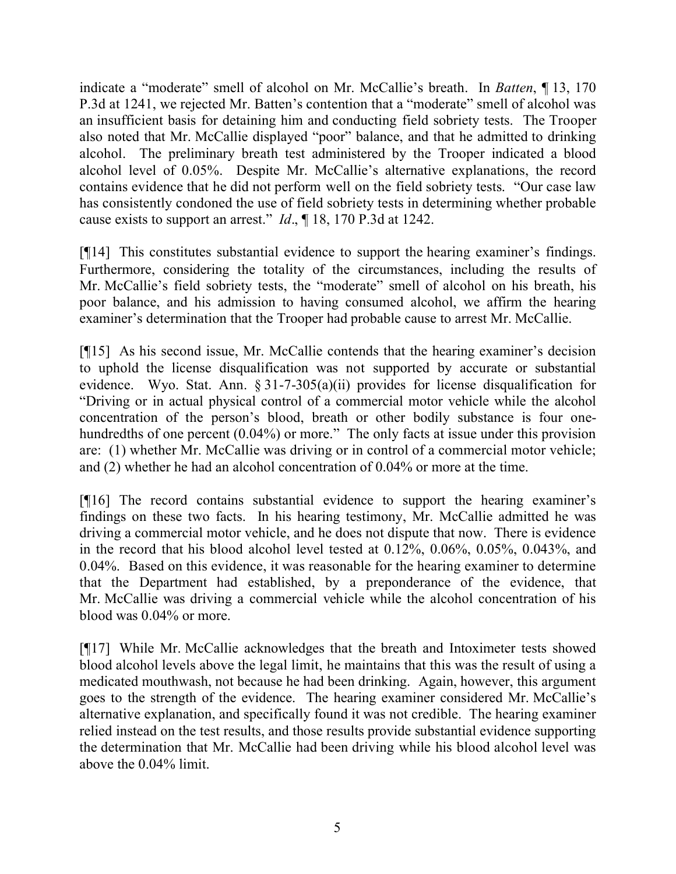indicate a "moderate" smell of alcohol on Mr. McCallie's breath. In *Batten*, ¶ 13, 170 P.3d at 1241, we rejected Mr. Batten's contention that a "moderate" smell of alcohol was an insufficient basis for detaining him and conducting field sobriety tests. The Trooper also noted that Mr. McCallie displayed "poor" balance, and that he admitted to drinking alcohol. The preliminary breath test administered by the Trooper indicated a blood alcohol level of 0.05%. Despite Mr. McCallie's alternative explanations, the record contains evidence that he did not perform well on the field sobriety tests. "Our case law has consistently condoned the use of field sobriety tests in determining whether probable cause exists to support an arrest." *Id*., ¶ 18, 170 P.3d at 1242.

[¶14] This constitutes substantial evidence to support the hearing examiner's findings. Furthermore, considering the totality of the circumstances, including the results of Mr. McCallie's field sobriety tests, the "moderate" smell of alcohol on his breath, his poor balance, and his admission to having consumed alcohol, we affirm the hearing examiner's determination that the Trooper had probable cause to arrest Mr. McCallie.

[¶15] As his second issue, Mr. McCallie contends that the hearing examiner's decision to uphold the license disqualification was not supported by accurate or substantial evidence. Wyo. Stat. Ann. § 31-7-305(a)(ii) provides for license disqualification for "Driving or in actual physical control of a commercial motor vehicle while the alcohol concentration of the person's blood, breath or other bodily substance is four onehundredths of one percent (0.04%) or more." The only facts at issue under this provision are: (1) whether Mr. McCallie was driving or in control of a commercial motor vehicle; and (2) whether he had an alcohol concentration of 0.04% or more at the time.

[¶16] The record contains substantial evidence to support the hearing examiner's findings on these two facts. In his hearing testimony, Mr. McCallie admitted he was driving a commercial motor vehicle, and he does not dispute that now. There is evidence in the record that his blood alcohol level tested at 0.12%, 0.06%, 0.05%, 0.043%, and 0.04%. Based on this evidence, it was reasonable for the hearing examiner to determine that the Department had established, by a preponderance of the evidence, that Mr. McCallie was driving a commercial vehicle while the alcohol concentration of his blood was 0.04% or more.

[¶17] While Mr. McCallie acknowledges that the breath and Intoximeter tests showed blood alcohol levels above the legal limit, he maintains that this was the result of using a medicated mouthwash, not because he had been drinking. Again, however, this argument goes to the strength of the evidence. The hearing examiner considered Mr. McCallie's alternative explanation, and specifically found it was not credible. The hearing examiner relied instead on the test results, and those results provide substantial evidence supporting the determination that Mr. McCallie had been driving while his blood alcohol level was above the 0.04% limit.